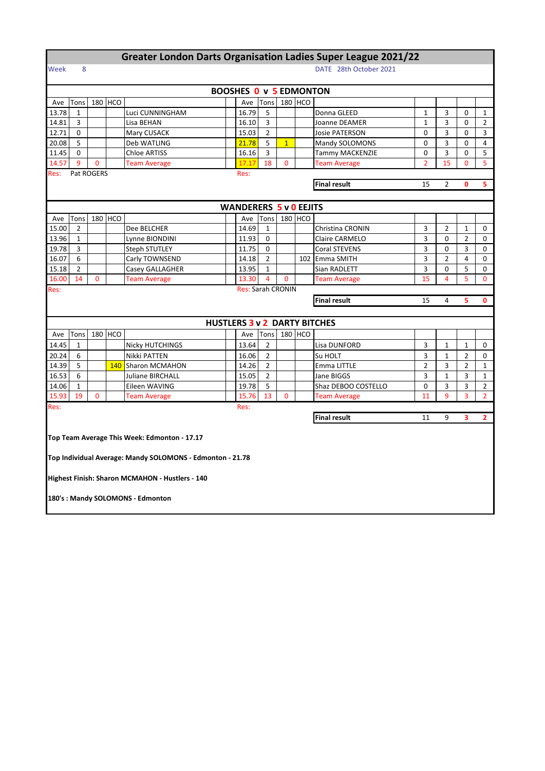## **Greater London Darts Organisation Ladies Super League 2021/22**

## Week 8 DATE 28th October 2021

| <b>BOOSHES 0 v 5 EDMONTON</b>                              |                                                             |   |         |                                                           |              |                               |                                  |              |         |                                     |                     |                |                     |                |
|------------------------------------------------------------|-------------------------------------------------------------|---|---------|-----------------------------------------------------------|--------------|-------------------------------|----------------------------------|--------------|---------|-------------------------------------|---------------------|----------------|---------------------|----------------|
| Ave                                                        | Tons                                                        |   | 180 HCO |                                                           |              | Ave                           | Tons                             |              | 180 HCO |                                     |                     |                |                     |                |
| 13.78                                                      | $\mathbf{1}$                                                |   |         | Luci CUNNINGHAM                                           |              | 16.79                         | 5                                |              |         | Donna GLEED                         | 1                   | 3              | 0                   | $\mathbf{1}$   |
| 14.81                                                      | 3                                                           |   |         | Lisa BEHAN                                                |              | 16.10                         | 3                                |              |         | Joanne DEAMER                       | $\mathbf{1}$        | 3              | 0                   | $\overline{2}$ |
| 12.71                                                      | $\Omega$                                                    |   |         | Mary CUSACK                                               |              | 15.03                         | $\overline{2}$                   |              |         | <b>Josie PATERSON</b>               | $\Omega$            | 3              | $\Omega$            | 3              |
| 20.08                                                      | 5                                                           |   |         | Deb WATLING                                               |              | 21.78                         | 5                                | 1            |         | Mandy SOLOMONS                      | 0                   | 3              | 0                   | 4              |
| 11.45                                                      | $\Omega$                                                    |   |         | <b>Chloe ARTISS</b>                                       |              | 16.16                         | 3                                |              |         | Tammy MACKENZIE                     | 0                   | 3              | 0                   | 5              |
| 14.57<br>9<br>0<br>18<br><b>Team Average</b><br>17.17<br>0 |                                                             |   |         |                                                           | Team Average | $\overline{2}$                | 15                               | 0            | 5       |                                     |                     |                |                     |                |
| Res:                                                       | Pat ROGERS<br>Res:                                          |   |         |                                                           |              |                               |                                  |              |         |                                     |                     |                |                     |                |
|                                                            | <b>Final result</b><br>15<br>$\overline{2}$<br>$\mathbf{0}$ |   |         |                                                           |              |                               |                                  |              |         |                                     |                     |                | 5                   |                |
|                                                            |                                                             |   |         |                                                           |              |                               |                                  |              |         |                                     |                     |                |                     |                |
|                                                            |                                                             |   |         |                                                           |              | <b>WANDERERS 5 v 0 EEJITS</b> |                                  |              |         |                                     |                     |                |                     |                |
| Ave                                                        | Tons                                                        |   | 180 HCO |                                                           |              | Ave                           | Tons                             |              | 180 HCO |                                     |                     |                |                     |                |
| 15.00                                                      | 2                                                           |   |         | Dee BELCHER                                               |              | 14.69                         | $\mathbf{1}$                     |              |         | Christina CRONIN                    | 3                   | 2              | 1                   | 0              |
| 13.96                                                      | 1                                                           |   |         | Lynne BIONDINI                                            |              | 11.93                         | 0                                |              |         | <b>Claire CARMELO</b>               | 3                   | 0              | $\overline{2}$      | 0              |
| 19.78                                                      | 3                                                           |   |         | <b>Steph STUTLEY</b>                                      |              | 11.75                         | 0                                |              |         | Coral STEVENS                       | 3                   | 0              | 3                   | 0              |
| 16.07                                                      | 6                                                           |   |         | Carly TOWNSEND                                            |              | 14.18                         | $\overline{2}$                   |              |         | 102 Emma SMITH                      | 3                   | $\overline{2}$ | 4                   | 0              |
| 15.18                                                      | $\overline{2}$                                              |   |         | Casey GALLAGHER                                           |              | 13.95                         | $\mathbf{1}$                     |              |         | Sian RADLETT                        | 3                   | 0              | 5                   | 0              |
| 16.00                                                      | 14                                                          | 0 |         | <b>Team Average</b>                                       |              | 13.30                         | 4                                | $\mathbf{0}$ |         | <b>Team Average</b>                 | 15                  | $\overline{4}$ | 5                   | $\Omega$       |
| Res:                                                       |                                                             |   |         |                                                           |              | <b>Res: Sarah CRONIN</b>      |                                  |              |         |                                     |                     |                |                     |                |
| <b>Final result</b><br>15<br>4<br>5                        |                                                             |   |         |                                                           |              |                               |                                  |              |         |                                     |                     |                |                     |                |
|                                                            |                                                             |   |         |                                                           |              |                               |                                  |              |         |                                     |                     |                |                     | $\mathbf{0}$   |
|                                                            |                                                             |   |         |                                                           |              |                               |                                  |              |         |                                     |                     |                |                     |                |
|                                                            |                                                             |   |         |                                                           |              |                               |                                  |              |         |                                     |                     |                |                     |                |
|                                                            | Tons                                                        |   |         |                                                           |              | Ave                           | Tons                             |              |         | <b>HUSTLERS 3 v 2 DARTY BITCHES</b> |                     |                |                     |                |
| Ave                                                        | 1                                                           |   | 180 HCO |                                                           |              |                               | 2                                |              | 180 HCO | Lisa DUNFORD                        | 3                   | 1              | 1                   | 0              |
| 14.45                                                      | 6                                                           |   |         | <b>Nicky HUTCHINGS</b>                                    |              | 13.64                         |                                  |              |         |                                     |                     | $\mathbf{1}$   |                     | 0              |
| 20.24<br>14.39                                             | 5                                                           |   | 140     | Nikki PATTEN                                              |              | 16.06<br>14.26                | $\overline{2}$<br>$\overline{2}$ |              |         | Su HOLT<br>Emma LITTLE              | 3<br>$\overline{2}$ | 3              | 2<br>$\overline{2}$ | $\mathbf{1}$   |
|                                                            | 6                                                           |   |         | Sharon MCMAHON<br><b>Juliane BIRCHALL</b>                 |              | 15.05                         | $\overline{2}$                   |              |         | Jane BIGGS                          | 3                   | 1              | 3                   | $\mathbf{1}$   |
| 16.53<br>14.06                                             | $\mathbf{1}$                                                |   |         |                                                           |              | 19.78                         | 5                                |              |         | Shaz DEBOO COSTELLO                 | 0                   | 3              | 3                   | $\overline{2}$ |
| 15.93                                                      | 19                                                          | 0 |         | Eileen WAVING<br><b>Team Average</b>                      |              | 15.76                         | 13                               | $\mathbf{0}$ |         | <b>Team Average</b>                 | 11                  | 9              | 3                   | $\overline{2}$ |
|                                                            |                                                             |   |         |                                                           |              | Res:                          |                                  |              |         |                                     |                     |                |                     |                |
| Res:                                                       |                                                             |   |         |                                                           |              |                               |                                  |              |         | <b>Final result</b>                 | 11                  | 9              | 3                   | $\overline{2}$ |
|                                                            |                                                             |   |         |                                                           |              |                               |                                  |              |         |                                     |                     |                |                     |                |
|                                                            |                                                             |   |         |                                                           |              |                               |                                  |              |         |                                     |                     |                |                     |                |
|                                                            |                                                             |   |         | Top Team Average This Week: Edmonton - 17.17              |              |                               |                                  |              |         |                                     |                     |                |                     |                |
|                                                            |                                                             |   |         | Top Individual Average: Mandy SOLOMONS - Edmonton - 21.78 |              |                               |                                  |              |         |                                     |                     |                |                     |                |
|                                                            |                                                             |   |         |                                                           |              |                               |                                  |              |         |                                     |                     |                |                     |                |
|                                                            |                                                             |   |         | Highest Finish: Sharon MCMAHON - Hustlers - 140           |              |                               |                                  |              |         |                                     |                     |                |                     |                |
|                                                            |                                                             |   |         |                                                           |              |                               |                                  |              |         |                                     |                     |                |                     |                |
|                                                            |                                                             |   |         | 180's : Mandy SOLOMONS - Edmonton                         |              |                               |                                  |              |         |                                     |                     |                |                     |                |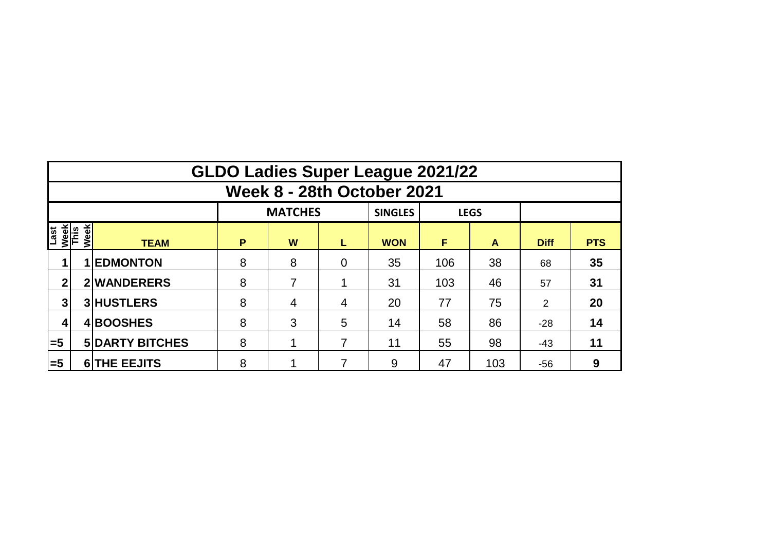|                             | <b>GLDO Ladies Super League 2021/22</b> |                        |   |                |                |                |     |              |             |            |  |  |  |  |  |
|-----------------------------|-----------------------------------------|------------------------|---|----------------|----------------|----------------|-----|--------------|-------------|------------|--|--|--|--|--|
|                             | <b>Week 8 - 28th October 2021</b>       |                        |   |                |                |                |     |              |             |            |  |  |  |  |  |
|                             |                                         |                        |   | <b>MATCHES</b> |                | <b>SINGLES</b> |     | <b>LEGS</b>  |             |            |  |  |  |  |  |
| Last<br><u>Week</u><br>This | <b>Week</b>                             | <b>TEAM</b>            | P | W              | L              | <b>WON</b>     | F   | $\mathsf{A}$ | <b>Diff</b> | <b>PTS</b> |  |  |  |  |  |
|                             |                                         | <b>1 EDMONTON</b>      | 8 | 8              | $\overline{0}$ | 35             | 106 | 38           | 68          | 35         |  |  |  |  |  |
| 2                           |                                         | 2 WANDERERS            | 8 | 7              |                | 31             | 103 | 46           | 57          | 31         |  |  |  |  |  |
| 3                           |                                         | <b>3 HUSTLERS</b>      | 8 | 4              | 4              | 20             | 77  | 75           | 2           | 20         |  |  |  |  |  |
|                             |                                         | 4BOOSHES               | 8 | 3              | 5              | 14             | 58  | 86           | $-28$       | 14         |  |  |  |  |  |
| $\equiv$ 5                  |                                         | <b>5 DARTY BITCHES</b> | 8 |                | 7              | 11             | 55  | 98           | $-43$       | 11         |  |  |  |  |  |
| l=5                         |                                         | <b>6 THE EEJITS</b>    | 8 |                | 7              | 9              | 47  | 103          | $-56$       | 9          |  |  |  |  |  |